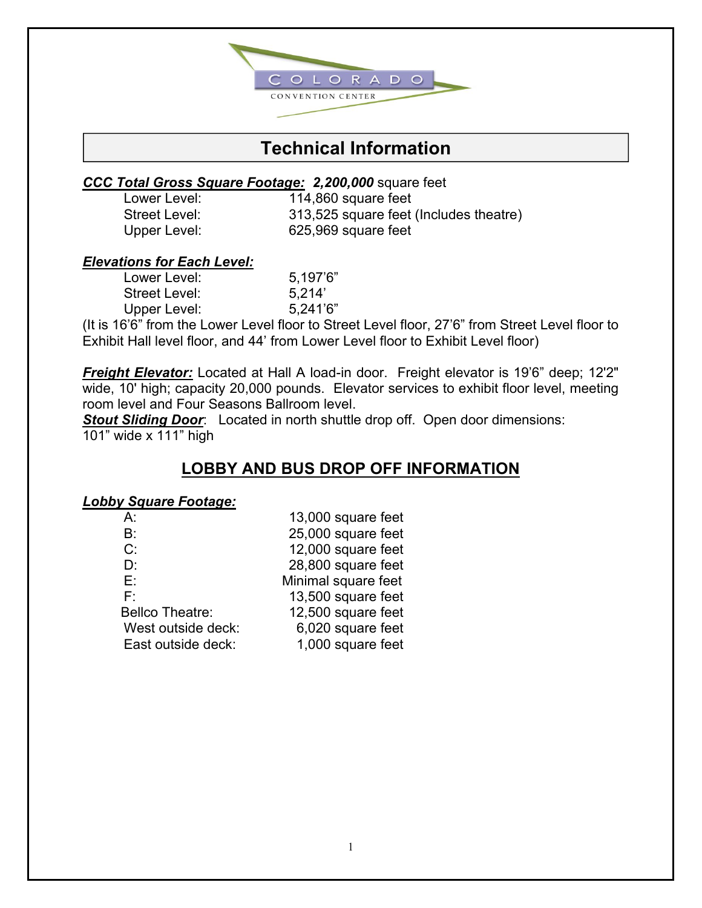

### **Technical Information**

#### *CCC Total Gross Square Footage: 2,200,000* square feet

Lower Level: 114,860 square feet Street Level: 313,525 square feet (Includes theatre) Upper Level: 625,969 square feet

### *Elevations for Each Level:*

| Lower Level:         | 5.197'6" |
|----------------------|----------|
| <b>Street Level:</b> | 5.214'   |
| Upper Level:         | 5,241'6" |

(It is 16'6" from the Lower Level floor to Street Level floor, 27'6" from Street Level floor to Exhibit Hall level floor, and 44' from Lower Level floor to Exhibit Level floor)

*Freight Elevator:* Located at Hall A load-in door. Freight elevator is 19'6" deep; 12'2" wide, 10' high; capacity 20,000 pounds. Elevator services to exhibit floor level, meeting room level and Four Seasons Ballroom level.

*Stout Sliding Door*: Located in north shuttle drop off. Open door dimensions: 101" wide x 111" high

### **LOBBY AND BUS DROP OFF INFORMATION**

#### *Lobby Square Footage:*

| A:                     | 13,000 square feet  |
|------------------------|---------------------|
| B:                     | 25,000 square feet  |
| C:                     | 12,000 square feet  |
| D:                     | 28,800 square feet  |
| E.                     | Minimal square feet |
| F۰                     | 13,500 square feet  |
| <b>Bellco Theatre:</b> | 12,500 square feet  |
| West outside deck:     | 6,020 square feet   |
| East outside deck:     | 1,000 square feet   |
|                        |                     |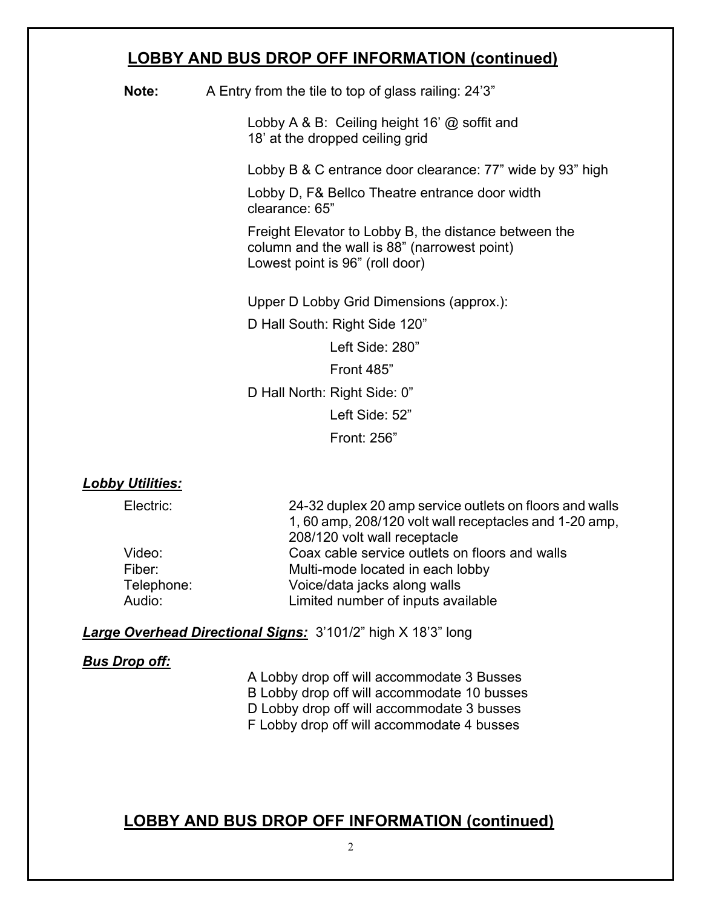### **LOBBY AND BUS DROP OFF INFORMATION (continued)**

**Note:** A Entry from the tile to top of glass railing: 24'3"

Lobby A & B: Ceiling height 16' @ soffit and 18' at the dropped ceiling grid

Lobby B & C entrance door clearance: 77" wide by 93" high

Lobby D, F& Bellco Theatre entrance door width clearance: 65"

Freight Elevator to Lobby B, the distance between the column and the wall is 88" (narrowest point) Lowest point is 96" (roll door)

Upper D Lobby Grid Dimensions (approx.):

D Hall South: Right Side 120"

Left Side: 280"

Front 485"

D Hall North: Right Side: 0"

Left Side: 52"

Front: 256"

#### *Lobby Utilities:*

Electric: 24-32 duplex 20 amp service outlets on floors and walls 1, 60 amp, 208/120 volt wall receptacles and 1-20 amp, 208/120 volt wall receptacle Video: Coax cable service outlets on floors and walls Fiber: Multi-mode located in each lobby Telephone: Voice/data jacks along walls Audio: Limited number of inputs available

#### *Large Overhead Directional Signs:* 3'101/2" high X 18'3" long

#### *Bus Drop off:*

A Lobby drop off will accommodate 3 Busses B Lobby drop off will accommodate 10 busses D Lobby drop off will accommodate 3 busses F Lobby drop off will accommodate 4 busses

### **LOBBY AND BUS DROP OFF INFORMATION (continued)**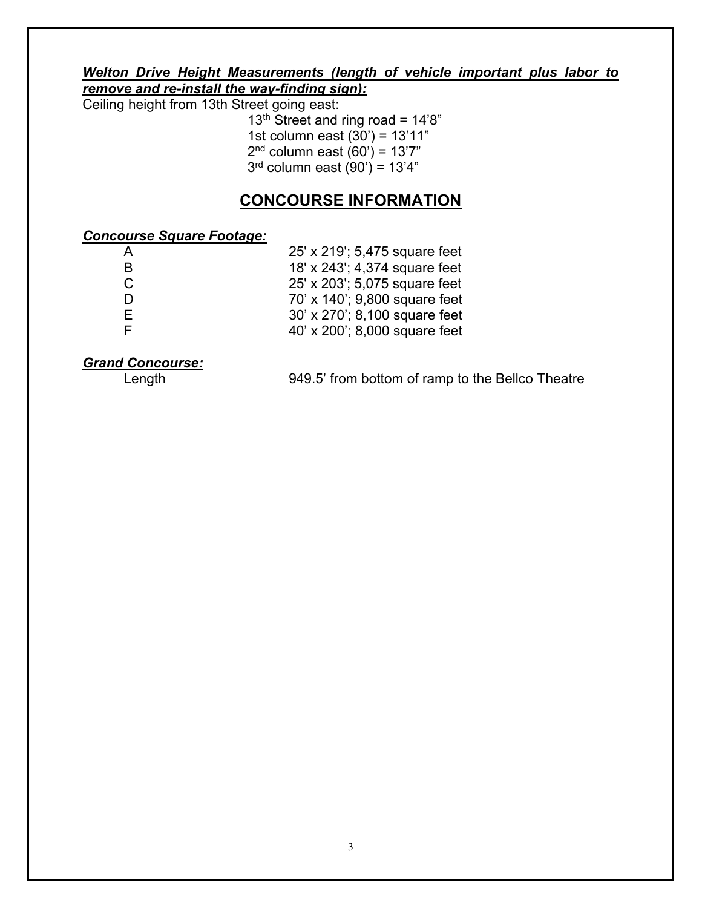#### *Welton Drive Height Measurements (length of vehicle important plus labor to remove and re-install the way-finding sign):*

Ceiling height from 13th Street going east:

 $13<sup>th</sup>$  Street and ring road = 14'8" 1st column east  $(30') = 13'11''$ 2<sup>nd</sup> column east (60') = 13'7"  $3<sup>rd</sup>$  column east (90') = 13'4"

### **CONCOURSE INFORMATION**

#### *Concourse Square Footage:*

| A  | 25' x 219'; 5,475 square feet |
|----|-------------------------------|
| B  | 18' x 243'; 4,374 square feet |
| C. | 25' x 203'; 5,075 square feet |
|    | 70' x 140'; 9,800 square feet |
| E. | 30' x 270'; 8,100 square feet |
|    | 40' x 200'; 8,000 square feet |

# *Grand Concourse:*

949.5' from bottom of ramp to the Bellco Theatre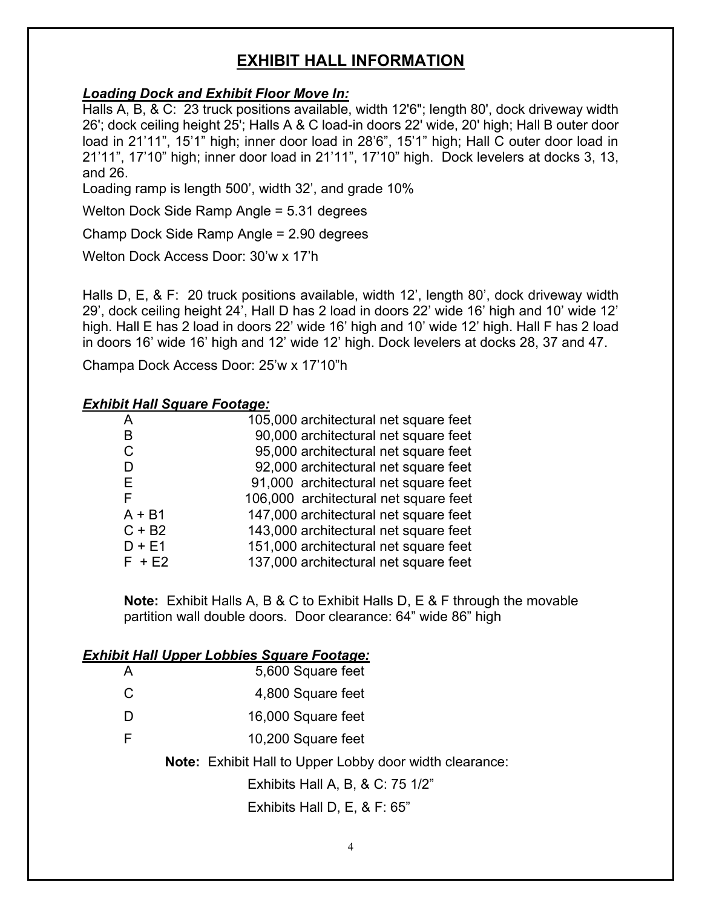### **EXHIBIT HALL INFORMATION**

#### *Loading Dock and Exhibit Floor Move In:*

Halls A, B, & C: 23 truck positions available, width 12'6"; length 80', dock driveway width 26'; dock ceiling height 25'; Halls A & C load-in doors 22' wide, 20' high; Hall B outer door load in 21'11", 15'1" high; inner door load in 28'6", 15'1" high; Hall C outer door load in 21'11", 17'10" high; inner door load in 21'11", 17'10" high. Dock levelers at docks 3, 13, and 26.

Loading ramp is length 500', width 32', and grade 10%

Welton Dock Side Ramp Angle = 5.31 degrees

Champ Dock Side Ramp Angle = 2.90 degrees

Welton Dock Access Door: 30'w x 17'h

Halls D, E, & F: 20 truck positions available, width 12', length 80', dock driveway width 29', dock ceiling height 24', Hall D has 2 load in doors 22' wide 16' high and 10' wide 12' high. Hall E has 2 load in doors 22' wide 16' high and 10' wide 12' high. Hall F has 2 load in doors 16' wide 16' high and 12' wide 12' high. Dock levelers at docks 28, 37 and 47.

Champa Dock Access Door: 25'w x 17'10"h

#### *Exhibit Hall Square Footage:*

|          | 105,000 architectural net square feet |
|----------|---------------------------------------|
| B        | 90,000 architectural net square feet  |
| C        | 95,000 architectural net square feet  |
| D        | 92,000 architectural net square feet  |
| Е        | 91,000 architectural net square feet  |
| F        | 106,000 architectural net square feet |
| $A + B1$ | 147,000 architectural net square feet |
| $C + B2$ | 143,000 architectural net square feet |
| $D + E1$ | 151,000 architectural net square feet |
| $F + E2$ | 137,000 architectural net square feet |

**Note:** Exhibit Halls A, B & C to Exhibit Halls D, E & F through the movable partition wall double doors. Door clearance: 64" wide 86" high

| <b>Exhibit Hall Upper Lobbies Square Footage:</b> |
|---------------------------------------------------|
|---------------------------------------------------|

| A | 5,600 Square feet                                              |
|---|----------------------------------------------------------------|
| C | 4,800 Square feet                                              |
| D | 16,000 Square feet                                             |
| F | 10,200 Square feet                                             |
|   | <b>Note:</b> Exhibit Hall to Upper Lobby door width clearance: |
|   | Exhibits Hall A, B, & C: 75 1/2"                               |
|   | Exhibits Hall D, E, & F: $65"$                                 |
|   |                                                                |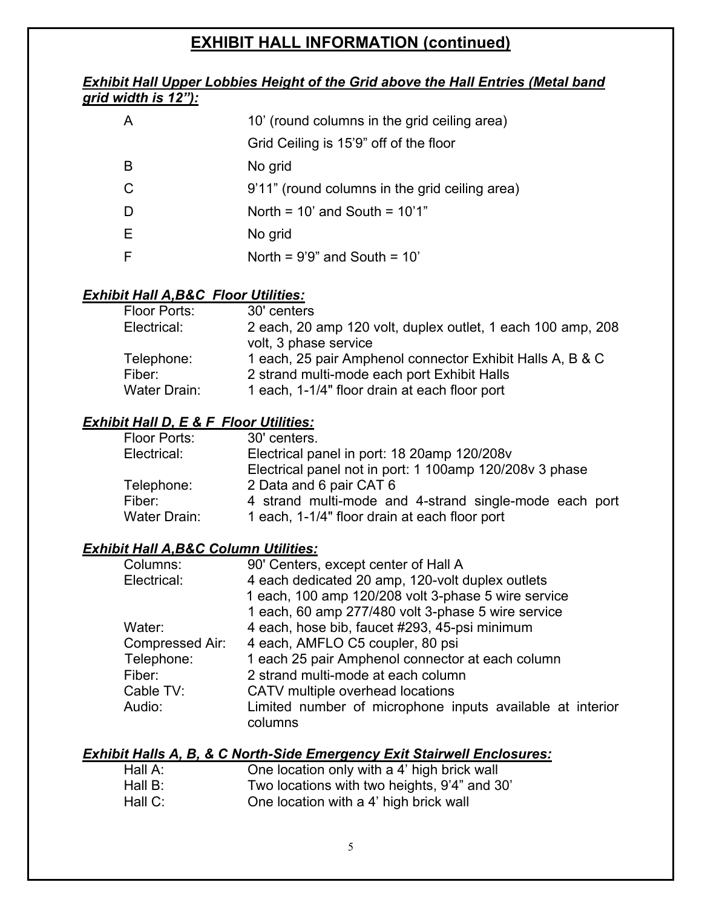### **EXHIBIT HALL INFORMATION (continued)**

#### *Exhibit Hall Upper Lobbies Height of the Grid above the Hall Entries (Metal band grid width is 12"):*

| A | 10' (round columns in the grid ceiling area)   |
|---|------------------------------------------------|
|   | Grid Ceiling is 15'9" off of the floor         |
| B | No grid                                        |
| C | 9'11" (round columns in the grid ceiling area) |
| D | North = $10'$ and South = $10'1"$              |
| Е | No grid                                        |
|   | North = $9'9''$ and South = $10'$              |

#### *Exhibit Hall A,B&C Floor Utilities:*

| Floor Ports: | 30' centers                                                 |
|--------------|-------------------------------------------------------------|
| Electrical:  | 2 each, 20 amp 120 volt, duplex outlet, 1 each 100 amp, 208 |
|              | volt, 3 phase service                                       |
| Telephone:   | 1 each, 25 pair Amphenol connector Exhibit Halls A, B & C   |
| Fiber:       | 2 strand multi-mode each port Exhibit Halls                 |
| Water Drain: | 1 each, 1-1/4" floor drain at each floor port               |

#### *Exhibit Hall D, E & F Floor Utilities:*

| Floor Ports: | 30' centers.                                            |
|--------------|---------------------------------------------------------|
| Electrical:  | Electrical panel in port: 18 20amp 120/208v             |
|              | Electrical panel not in port: 1 100amp 120/208y 3 phase |
| Telephone:   | 2 Data and 6 pair CAT 6                                 |
| Fiber:       | 4 strand multi-mode and 4-strand single-mode each port  |
| Water Drain: | 1 each, 1-1/4" floor drain at each floor port           |

#### *Exhibit Hall A,B&C Column Utilities:*

| Columns:        | 90' Centers, except center of Hall A                                 |
|-----------------|----------------------------------------------------------------------|
| Electrical:     | 4 each dedicated 20 amp, 120-volt duplex outlets                     |
|                 | 1 each, 100 amp 120/208 volt 3-phase 5 wire service                  |
|                 | 1 each, 60 amp 277/480 volt 3-phase 5 wire service                   |
| Water:          | 4 each, hose bib, faucet #293, 45-psi minimum                        |
| Compressed Air: | 4 each, AMFLO C5 coupler, 80 psi                                     |
| Telephone:      | 1 each 25 pair Amphenol connector at each column                     |
| Fiber:          | 2 strand multi-mode at each column                                   |
| Cable TV:       | CATV multiple overhead locations                                     |
| Audio:          | Limited number of microphone inputs available at interior<br>columns |

#### *Exhibit Halls A, B, & C North-Side Emergency Exit Stairwell Enclosures:*

| Hall A: | One location only with a 4' high brick wall  |
|---------|----------------------------------------------|
| Hall B: | Two locations with two heights, 9'4" and 30' |
| Hall C: | One location with a 4' high brick wall       |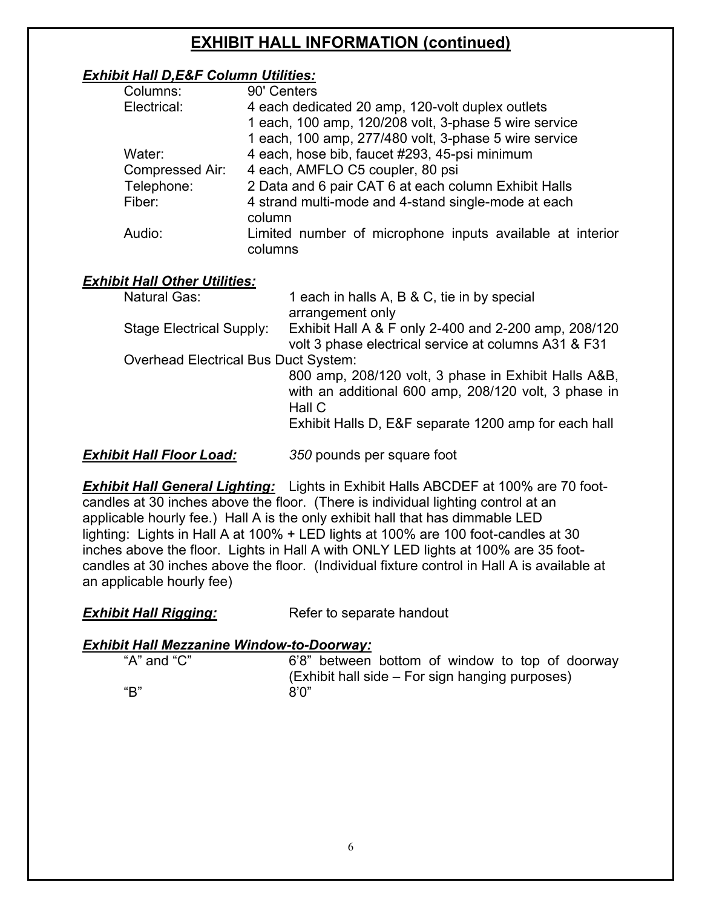### **EXHIBIT HALL INFORMATION (continued)**

#### *Exhibit Hall D,E&F Column Utilities:*

| Columns:        | 90' Centers                                                          |
|-----------------|----------------------------------------------------------------------|
| Electrical:     | 4 each dedicated 20 amp, 120-volt duplex outlets                     |
|                 | 1 each, 100 amp, 120/208 volt, 3-phase 5 wire service                |
|                 | 1 each, 100 amp, 277/480 volt, 3-phase 5 wire service                |
| Water:          | 4 each, hose bib, faucet #293, 45-psi minimum                        |
| Compressed Air: | 4 each, AMFLO C5 coupler, 80 psi                                     |
| Telephone:      | 2 Data and 6 pair CAT 6 at each column Exhibit Halls                 |
| Fiber:          | 4 strand multi-mode and 4-stand single-mode at each<br>column        |
| Audio:          | Limited number of microphone inputs available at interior<br>columns |

#### *Exhibit Hall Other Utilities:*

| <b>Natural Gas:</b>                         | 1 each in halls A, B & C, tie in by special                                                          |
|---------------------------------------------|------------------------------------------------------------------------------------------------------|
|                                             | arrangement only                                                                                     |
| Stage Electrical Supply:                    | Exhibit Hall A & F only 2-400 and 2-200 amp, 208/120                                                 |
|                                             | volt 3 phase electrical service at columns A31 & F31                                                 |
| <b>Overhead Electrical Bus Duct System:</b> |                                                                                                      |
|                                             | 800 amp, 208/120 volt, 3 phase in Exhibit Halls A&B,                                                 |
|                                             | with an additional 600 amp, 208/120 volt, 3 phase in                                                 |
|                                             | Hall C                                                                                               |
|                                             | Exhibit Halls D, E&F separate 1200 amp for each hall                                                 |
|                                             | 0. PO 2012 - PO 2012 - PO 2012 - PO 2012 - PO 2012 - PO 2012 - PO 2012 - PO 2012 - PO 2012 - PO 2012 |
|                                             |                                                                                                      |

*Exhibit Hall Floor Load: 350* pounds per square foot

*Exhibit Hall General Lighting:* Lights in Exhibit Halls ABCDEF at 100% are 70 footcandles at 30 inches above the floor. (There is individual lighting control at an applicable hourly fee.) Hall A is the only exhibit hall that has dimmable LED lighting: Lights in Hall A at 100% + LED lights at 100% are 100 foot-candles at 30 inches above the floor. Lights in Hall A with ONLY LED lights at 100% are 35 footcandles at 30 inches above the floor. (Individual fixture control in Hall A is available at an applicable hourly fee)

| <b>Exhibit Hall Rigging:</b> | Refer to separate handout |
|------------------------------|---------------------------|
|------------------------------|---------------------------|

#### *Exhibit Hall Mezzanine Window-to-Doorway:*

"A" and "C" 6'8" between bottom of window to top of doorway (Exhibit hall side – For sign hanging purposes)  $B''$  8'0"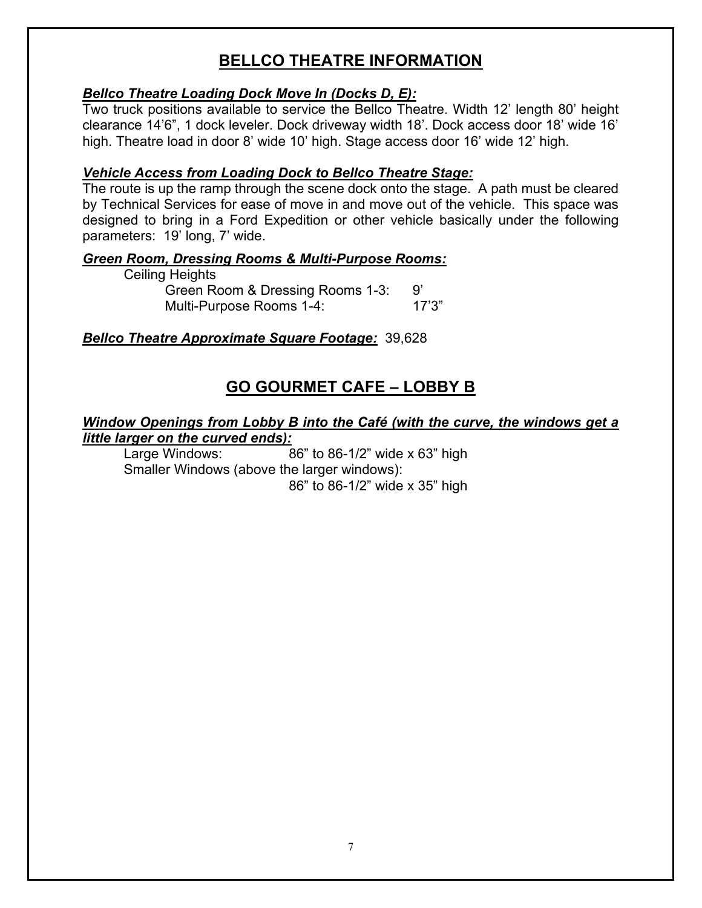### **BELLCO THEATRE INFORMATION**

#### *Bellco Theatre Loading Dock Move In (Docks D, E):*

Two truck positions available to service the Bellco Theatre. Width 12' length 80' height clearance 14'6", 1 dock leveler. Dock driveway width 18'. Dock access door 18' wide 16' high. Theatre load in door 8' wide 10' high. Stage access door 16' wide 12' high.

#### *Vehicle Access from Loading Dock to Bellco Theatre Stage:*

The route is up the ramp through the scene dock onto the stage. A path must be cleared by Technical Services for ease of move in and move out of the vehicle. This space was designed to bring in a Ford Expedition or other vehicle basically under the following parameters: 19' long, 7' wide.

#### *Green Room, Dressing Rooms & Multi-Purpose Rooms:*

| Ceiling Heights                  |        |
|----------------------------------|--------|
| Green Room & Dressing Rooms 1-3: |        |
| Multi-Purpose Rooms 1-4:         | 17'3'' |

#### *Bellco Theatre Approximate Square Footage:* 39,628

### **GO GOURMET CAFE – LOBBY B**

#### *Window Openings from Lobby B into the Café (with the curve, the windows get a little larger on the curved ends):*

Large Windows: 86" to 86-1/2" wide x 63" high Smaller Windows (above the larger windows): 86" to 86-1/2" wide x 35" high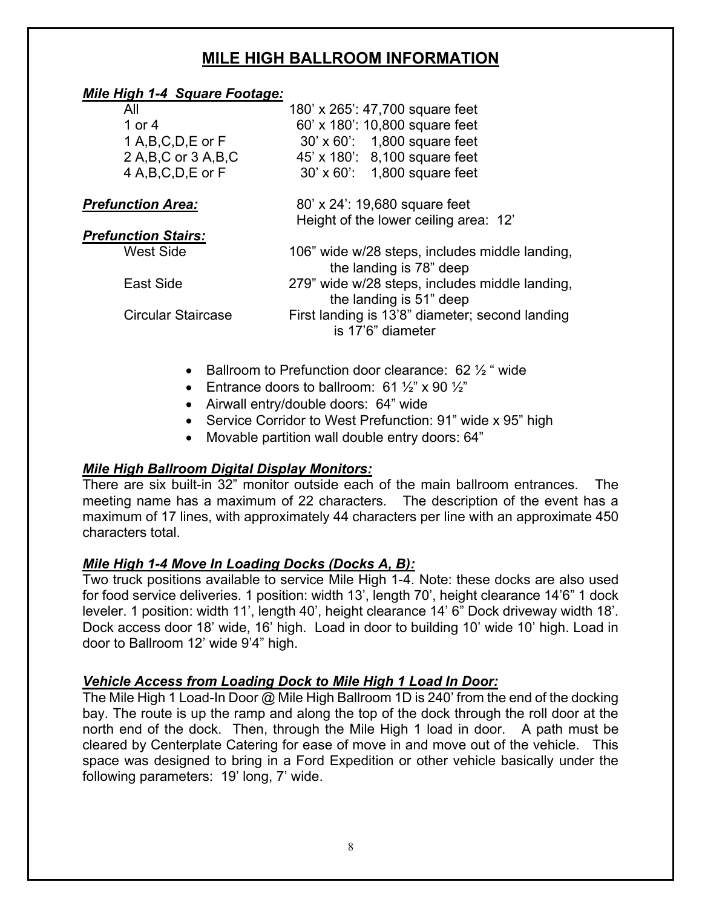### **MILE HIGH BALLROOM INFORMATION**

#### *Mile High 1-4 Square Footage:*

| All                        | 180' x 265': 47,700 square feet                                           |
|----------------------------|---------------------------------------------------------------------------|
| 1 or $4$                   | 60' x 180': 10,800 square feet                                            |
| 1 A, B, C, D, E or F       | 30' x 60': 1,800 square feet                                              |
| 2 A, B, C or 3 A, B, C     | 45' x 180': 8,100 square feet                                             |
| 4 A,B,C,D,E or F           | 30' x 60': 1,800 square feet                                              |
| <b>Prefunction Area:</b>   | 80' x 24': 19,680 square feet                                             |
|                            | Height of the lower ceiling area: 12'                                     |
| <b>Prefunction Stairs:</b> |                                                                           |
| <b>West Side</b>           | 106" wide w/28 steps, includes middle landing,<br>the landing is 78" deep |
| East Side                  | 279" wide w/28 steps, includes middle landing,<br>the landing is 51" deep |
| <b>Circular Staircase</b>  | First landing is 13'8" diameter; second landing<br>is 17'6" diameter      |
|                            |                                                                           |

- **Ballroom to Prefunction door clearance: 62**  $\frac{1}{2}$  **" wide**
- Entrance doors to ballroom:  $61\frac{1}{2}$ " x  $90\frac{1}{2}$ "
- Airwall entry/double doors: 64" wide
- Service Corridor to West Prefunction: 91" wide x 95" high
- Movable partition wall double entry doors: 64"

#### *Mile High Ballroom Digital Display Monitors:*

There are six built-in 32" monitor outside each of the main ballroom entrances. The meeting name has a maximum of 22 characters. The description of the event has a maximum of 17 lines, with approximately 44 characters per line with an approximate 450 characters total.

#### *Mile High 1-4 Move In Loading Docks (Docks A, B):*

Two truck positions available to service Mile High 1-4. Note: these docks are also used for food service deliveries. 1 position: width 13', length 70', height clearance 14'6" 1 dock leveler. 1 position: width 11', length 40', height clearance 14' 6" Dock driveway width 18'. Dock access door 18' wide, 16' high. Load in door to building 10' wide 10' high. Load in door to Ballroom 12' wide 9'4" high.

#### *Vehicle Access from Loading Dock to Mile High 1 Load In Door:*

The Mile High 1 Load-In Door @ Mile High Ballroom 1D is 240' from the end of the docking bay. The route is up the ramp and along the top of the dock through the roll door at the north end of the dock. Then, through the Mile High 1 load in door. A path must be cleared by Centerplate Catering for ease of move in and move out of the vehicle. This space was designed to bring in a Ford Expedition or other vehicle basically under the following parameters: 19' long, 7' wide.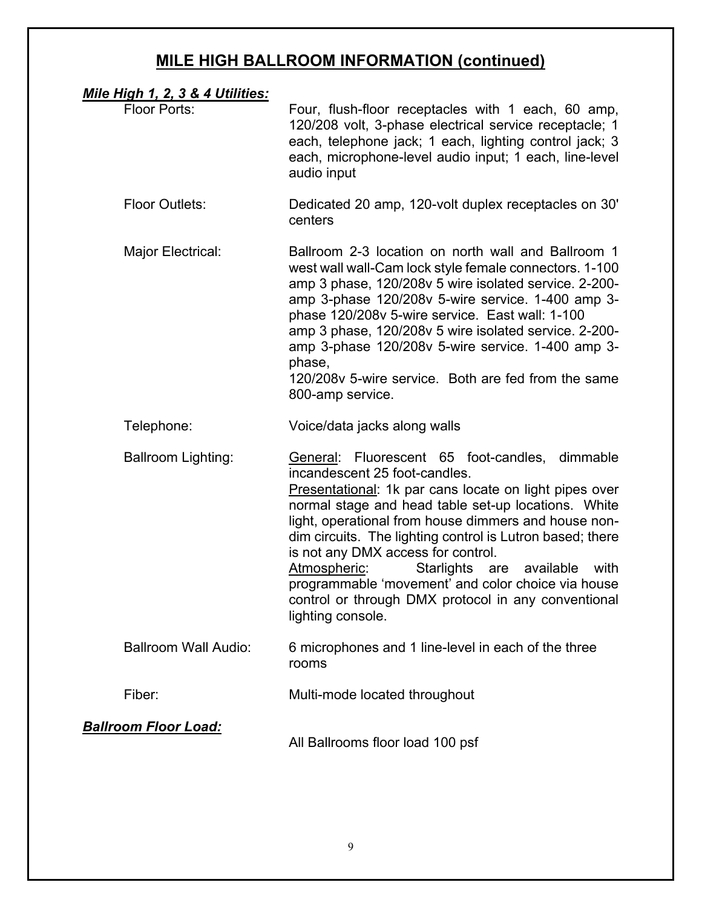## **MILE HIGH BALLROOM INFORMATION (continued)**

| <u>Mile High 1, 2, 3 &amp; 4 Utilities:</u> |                                                                                                                                                                                                                                                                                                                                                                                                                                                                                                                                                         |
|---------------------------------------------|---------------------------------------------------------------------------------------------------------------------------------------------------------------------------------------------------------------------------------------------------------------------------------------------------------------------------------------------------------------------------------------------------------------------------------------------------------------------------------------------------------------------------------------------------------|
| <b>Floor Ports:</b>                         | Four, flush-floor receptacles with 1 each, 60 amp,<br>120/208 volt, 3-phase electrical service receptacle; 1<br>each, telephone jack; 1 each, lighting control jack; 3<br>each, microphone-level audio input; 1 each, line-level<br>audio input                                                                                                                                                                                                                                                                                                         |
| <b>Floor Outlets:</b>                       | Dedicated 20 amp, 120-volt duplex receptacles on 30'<br>centers                                                                                                                                                                                                                                                                                                                                                                                                                                                                                         |
| Major Electrical:                           | Ballroom 2-3 location on north wall and Ballroom 1<br>west wall wall-Cam lock style female connectors. 1-100<br>amp 3 phase, 120/208v 5 wire isolated service. 2-200-<br>amp 3-phase 120/208v 5-wire service. 1-400 amp 3-<br>phase 120/208v 5-wire service. East wall: 1-100<br>amp 3 phase, 120/208v 5 wire isolated service. 2-200-<br>amp 3-phase 120/208v 5-wire service. 1-400 amp 3-<br>phase,<br>120/208v 5-wire service. Both are fed from the same<br>800-amp service.                                                                        |
| Telephone:                                  | Voice/data jacks along walls                                                                                                                                                                                                                                                                                                                                                                                                                                                                                                                            |
| <b>Ballroom Lighting:</b>                   | General: Fluorescent 65 foot-candles,<br>dimmable<br>incandescent 25 foot-candles.<br>Presentational: 1k par cans locate on light pipes over<br>normal stage and head table set-up locations. White<br>light, operational from house dimmers and house non-<br>dim circuits. The lighting control is Lutron based; there<br>is not any DMX access for control.<br>Atmospheric:<br>Starlights are<br>available<br>with<br>programmable 'movement' and color choice via house<br>control or through DMX protocol in any conventional<br>lighting console. |
| <b>Ballroom Wall Audio:</b>                 | 6 microphones and 1 line-level in each of the three<br>rooms                                                                                                                                                                                                                                                                                                                                                                                                                                                                                            |
| Fiber:                                      | Multi-mode located throughout                                                                                                                                                                                                                                                                                                                                                                                                                                                                                                                           |
| <b>Ballroom Floor Load:</b>                 | All Ballrooms floor load 100 psf                                                                                                                                                                                                                                                                                                                                                                                                                                                                                                                        |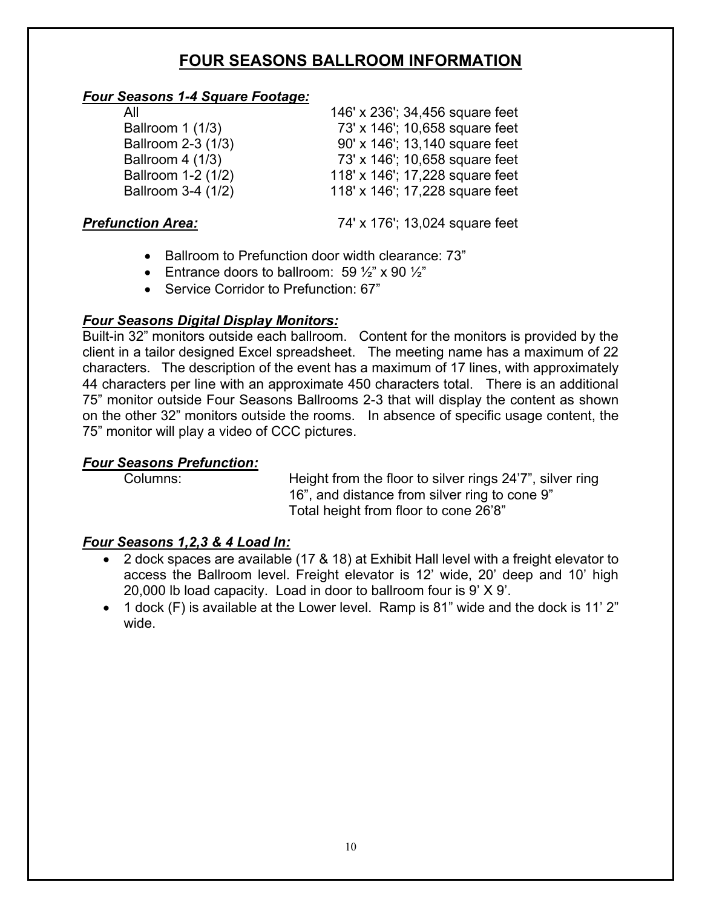### **FOUR SEASONS BALLROOM INFORMATION**

#### *Four Seasons 1-4 Square Footage:*

| All                | 146' x 236'; 34,456 square feet |
|--------------------|---------------------------------|
| Ballroom 1 (1/3)   | 73' x 146'; 10,658 square feet  |
| Ballroom 2-3 (1/3) | 90' x 146'; 13,140 square feet  |
| Ballroom 4 (1/3)   | 73' x 146'; 10,658 square feet  |
| Ballroom 1-2 (1/2) | 118' x 146'; 17,228 square feet |
| Ballroom 3-4 (1/2) | 118' x 146'; 17,228 square feet |

**Prefunction Area:** 74' x 176'; 13,024 square feet

- Ballroom to Prefunction door width clearance: 73"
- Entrance doors to ballroom: 59  $\frac{1}{2}$ " x 90  $\frac{1}{2}$ "
- Service Corridor to Prefunction: 67"

#### *Four Seasons Digital Display Monitors:*

Built-in 32" monitors outside each ballroom. Content for the monitors is provided by the client in a tailor designed Excel spreadsheet. The meeting name has a maximum of 22 characters. The description of the event has a maximum of 17 lines, with approximately 44 characters per line with an approximate 450 characters total. There is an additional 75" monitor outside Four Seasons Ballrooms 2-3 that will display the content as shown on the other 32" monitors outside the rooms. In absence of specific usage content, the 75" monitor will play a video of CCC pictures.

#### *Four Seasons Prefunction:*

Columns: Height from the floor to silver rings 24'7", silver ring 16", and distance from silver ring to cone 9" Total height from floor to cone 26'8"

#### *Four Seasons 1,2,3 & 4 Load In:*

- 2 dock spaces are available (17 & 18) at Exhibit Hall level with a freight elevator to access the Ballroom level. Freight elevator is 12' wide, 20' deep and 10' high 20,000 lb load capacity. Load in door to ballroom four is 9' X 9'.
- 1 dock (F) is available at the Lower level. Ramp is 81" wide and the dock is 11' 2" wide.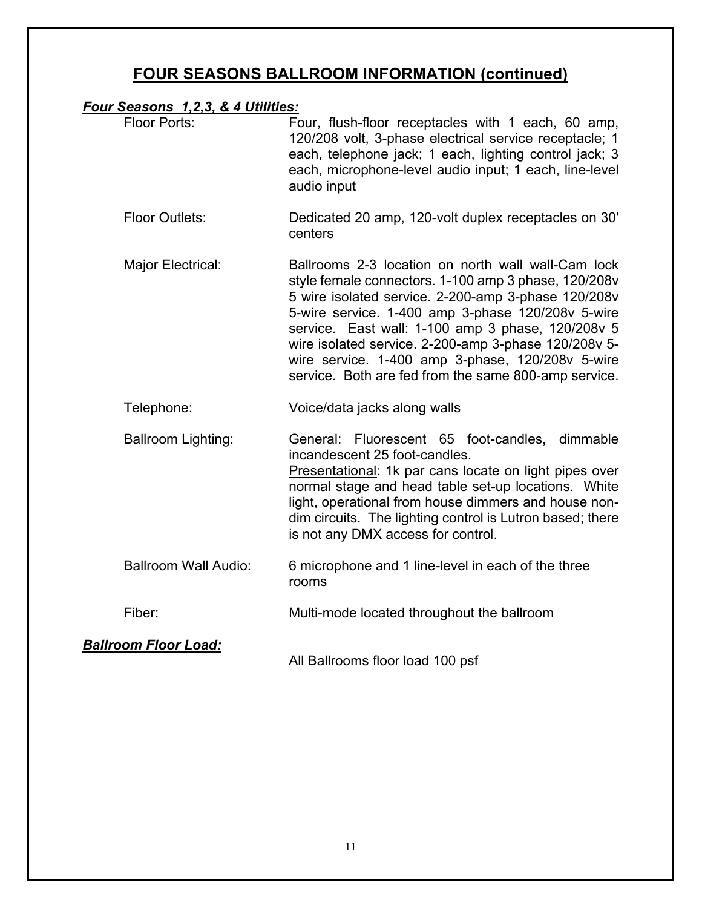### **FOUR SEASONS BALLROOM INFORMATION (continued)**

#### *Four Seasons 1,2,3, & 4 Utilities:*

| Floor Ports: | Four, flush-floor receptacles with 1 each, 60 amp,<br>120/208 volt, 3-phase electrical service receptacle; 1<br>each, telephone jack; 1 each, lighting control jack; 3<br>each, microphone-level audio input; 1 each, line-level<br>audio input |
|--------------|-------------------------------------------------------------------------------------------------------------------------------------------------------------------------------------------------------------------------------------------------|
|--------------|-------------------------------------------------------------------------------------------------------------------------------------------------------------------------------------------------------------------------------------------------|

- Floor Outlets: Dedicated 20 amp, 120-volt duplex receptacles on 30' centers
- Major Electrical: Ballrooms 2-3 location on north wall wall-Cam lock style female connectors. 1-100 amp 3 phase, 120/208v 5 wire isolated service. 2-200-amp 3-phase 120/208v 5-wire service. 1-400 amp 3-phase 120/208v 5-wire service. East wall: 1-100 amp 3 phase, 120/208v 5 wire isolated service. 2-200-amp 3-phase 120/208v 5 wire service. 1-400 amp 3-phase, 120/208v 5-wire service. Both are fed from the same 800-amp service.

Telephone: Voice/data jacks along walls

Ballroom Lighting: General: Fluorescent 65 foot-candles, dimmable incandescent 25 foot-candles. Presentational: 1k par cans locate on light pipes over normal stage and head table set-up locations. White light, operational from house dimmers and house nondim circuits. The lighting control is Lutron based; there is not any DMX access for control.

- Ballroom Wall Audio: 6 microphone and 1 line-level in each of the three rooms
- Fiber: Multi-mode located throughout the ballroom

#### *Ballroom Floor Load:*

All Ballrooms floor load 100 psf